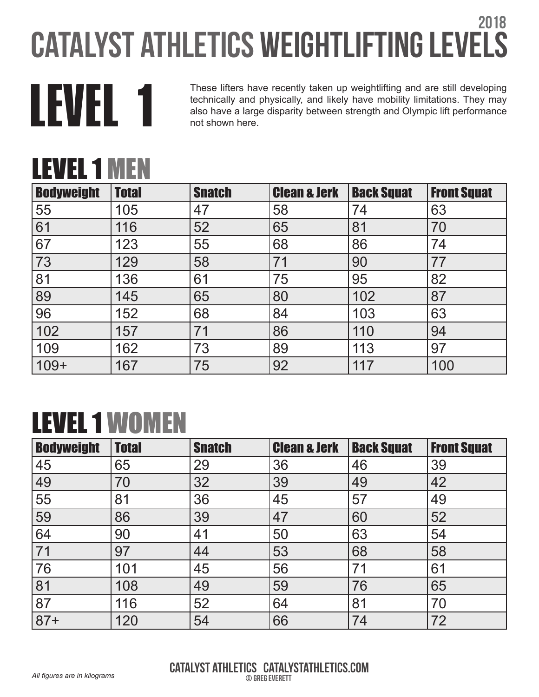

These lifters have recently taken up weightlifting and are still developing<br>technically and physically, and likely have mobility limitations. They may<br>also have a large disparity between strength and Olympic lift performan technically and physically, and likely have mobility limitations. They may also have a large disparity between strength and Olympic lift performance not shown here.

### LEVEL 1 MEN

| <b>Bodyweight</b> | <b>Total</b> | <b>Snatch</b> | <b>Clean &amp; Jerk</b> | <b>Back Squat</b> | <b>Front Squat</b> |
|-------------------|--------------|---------------|-------------------------|-------------------|--------------------|
| 55                | 105          | 47            | 58                      | 74                | 63                 |
| 61                | 116          | 52            | 65                      | 81                | 70                 |
| 67                | 123          | 55            | 68                      | 86                | 74                 |
| 73                | 129          | 58            | 71                      | 90                | 77                 |
| 81                | 136          | 61            | 75                      | 95                | 82                 |
| 89                | 145          | 65            | 80                      | 102               | 87                 |
| 96                | 152          | 68            | 84                      | 103               | 63                 |
| 102               | 157          | 71            | 86                      | 110               | 94                 |
| 109               | 162          | 73            | 89                      | 113               | 97                 |
| 109+              | 167          | 75            | 92                      | 117               | 100                |

## LEVEL 1 WOMEN

| <b>Bodyweight</b> | <b>Total</b> | <b>Snatch</b> | <b>Clean &amp; Jerk</b> | <b>Back Squat</b> | <b>Front Squat</b> |
|-------------------|--------------|---------------|-------------------------|-------------------|--------------------|
| 45                | 65           | 29            | 36                      | 46                | 39                 |
| 49                | 70           | 32            | 39                      | 49                | 42                 |
| 55                | 81           | 36            | 45                      | 57                | 49                 |
| 59                | 86           | 39            | 47                      | 60                | 52                 |
| 64                | 90           | 41            | 50                      | 63                | 54                 |
| 71                | 97           | 44            | 53                      | 68                | 58                 |
| 76                | 101          | 45            | 56                      | 71                | 61                 |
| 81                | 108          | 49            | 59                      | 76                | 65                 |
| 87                | 116          | 52            | 64                      | 81                | 70                 |
| $ 87+$            | 120          | 54            | 66                      | 74                | 72                 |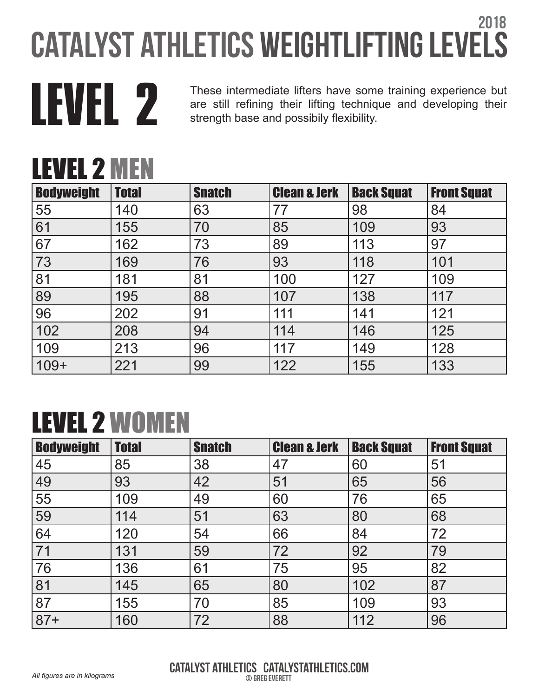LEVEL 2 MEN

These intermediate lifters have some training experience but<br>are still refining their lifting technique and developing their<br>strength base and possibily flexibility. are still refining their lifting technique and developing their strength base and possibily flexibility.

| LLVLL 4 IVILIV    |              |               |                         |                   |                    |
|-------------------|--------------|---------------|-------------------------|-------------------|--------------------|
| <b>Bodyweight</b> | <b>Total</b> | <b>Snatch</b> | <b>Clean &amp; Jerk</b> | <b>Back Squat</b> | <b>Front Squat</b> |
| 55                | 140          | 63            | 77                      | 98                | 84                 |
| 61                | 155          | 70            | 85                      | 109               | 93                 |
| 67                | 162          | 73            | 89                      | 113               | 97                 |
| 73                | 169          | 76            | 93                      | 118               | 101                |
| 81                | 181          | 81            | 100                     | 127               | 109                |
| 89                | 195          | 88            | 107                     | 138               | 117                |
| 96                | 202          | 91            | 111                     | 141               | 121                |
| 102               | 208          | 94            | 114                     | 146               | 125                |
| 109               | 213          | 96            | 117                     | 149               | 128                |
| $ 109+$           | 221          | 99            | 122                     | 155               | 133                |

# LEVEL 2 WOMEN

| <b>Bodyweight</b> | <b>Total</b> | <b>Snatch</b> | <b>Clean &amp; Jerk</b> | <b>Back Squat</b> | <b>Front Squat</b> |
|-------------------|--------------|---------------|-------------------------|-------------------|--------------------|
| 45                | 85           | 38            | 47                      | 60                | 51                 |
| 49                | 93           | 42            | 51                      | 65                | 56                 |
| 55                | 109          | 49            | 60                      | 76                | 65                 |
| 59                | 114          | 51            | 63                      | 80                | 68                 |
| 64                | 120          | 54            | 66                      | 84                | 72                 |
| 71                | 131          | 59            | 72                      | 92                | 79                 |
| 76                | 136          | 61            | 75                      | 95                | 82                 |
| 81                | 145          | 65            | 80                      | 102               | 87                 |
| 87                | 155          | 70            | 85                      | 109               | 93                 |
| $ 87+$            | 160          | 72            | 88                      | 112               | 96                 |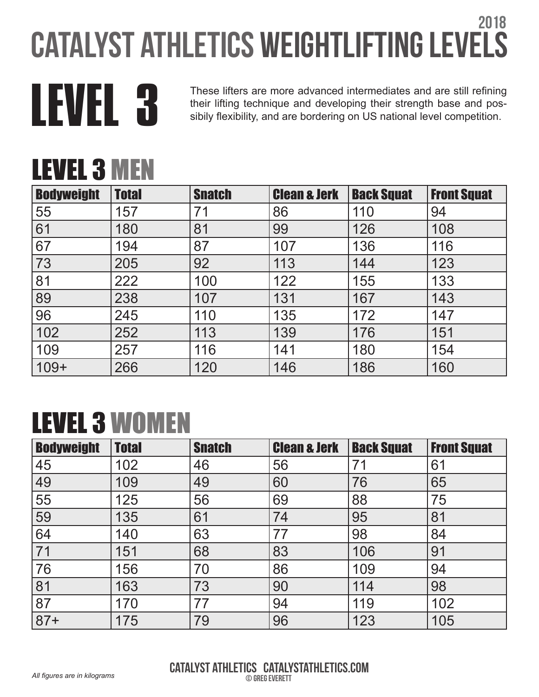

These lifters are more advanced intermediates and are still refining<br>their lifting technique and developing their strength base and pos-<br>sibily flexibility, and are bordering on US national level competition. their lifting technique and developing their strength base and possibily flexibility, and are bordering on US national level competition.

# LEVEL 3 MEN

| <b>Bodyweight</b> | <b>Total</b> | <b>Snatch</b> | <b>Clean &amp; Jerk</b> | <b>Back Squat</b> | <b>Front Squat</b> |
|-------------------|--------------|---------------|-------------------------|-------------------|--------------------|
| 55                | 157          | 71            | 86                      | 110               | 94                 |
| 61                | 180          | 81            | 99                      | 126               | 108                |
| 67                | 194          | 87            | 107                     | 136               | 116                |
| 73                | 205          | 92            | 113                     | 144               | 123                |
| 81                | 222          | 100           | 122                     | 155               | 133                |
| 89                | 238          | 107           | 131                     | 167               | 143                |
| 96                | 245          | 110           | 135                     | 172               | 147                |
| 102               | 252          | 113           | 139                     | 176               | 151                |
| 109               | 257          | 116           | 141                     | 180               | 154                |
| $109+$            | 266          | 120           | 146                     | 186               | 160                |

## LEVEL 3 WOMEN

| <b>Bodyweight</b> | <b>Total</b> | <b>Snatch</b> | <b>Clean &amp; Jerk</b> | <b>Back Squat</b> | <b>Front Squat</b> |
|-------------------|--------------|---------------|-------------------------|-------------------|--------------------|
| 45                | 102          | 46            | 56                      | 71                | 61                 |
| 49                | 109          | 49            | 60                      | 76                | 65                 |
| 55                | 125          | 56            | 69                      | 88                | 75                 |
| 59                | 135          | 61            | 74                      | 95                | 81                 |
| 64                | 140          | 63            | 77                      | 98                | 84                 |
| 71                | 151          | 68            | 83                      | 106               | 91                 |
| 76                | 156          | 70            | 86                      | 109               | 94                 |
| 81                | 163          | 73            | 90                      | 114               | 98                 |
| 87                | 170          | 77            | 94                      | 119               | 102                |
| $87+$             | 175          | 79            | 96                      | 123               | 105                |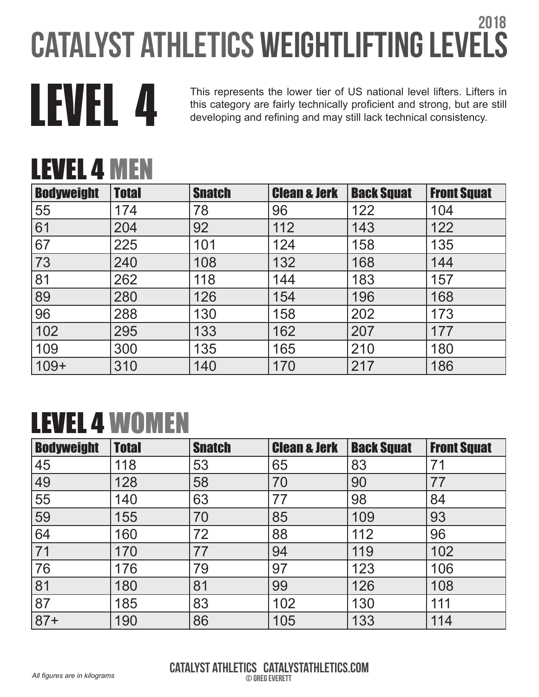This represents the lower tier of US national level lifters. Lifters in this category are fairly technically proficient and strong, but are still developing and refining and may still lack technical consistency. this category are fairly technically proficient and strong, but are still developing and refining and may still lack technical consistency.

### LEVEL 4 MEN

| <b>Bodyweight</b> | <b>Total</b> | <b>Snatch</b> | <b>Clean &amp; Jerk</b> | <b>Back Squat</b> | <b>Front Squat</b> |
|-------------------|--------------|---------------|-------------------------|-------------------|--------------------|
| 55                | 174          | 78            | 96                      | 122               | 104                |
| 61                | 204          | 92            | 112                     | 143               | 122                |
| 67                | 225          | 101           | 124                     | 158               | 135                |
| 73                | 240          | 108           | 132                     | 168               | 144                |
| 81                | 262          | 118           | 144                     | 183               | 157                |
| 89                | 280          | 126           | 154                     | 196               | 168                |
| 96                | 288          | 130           | 158                     | 202               | 173                |
| 102               | 295          | 133           | 162                     | 207               | 177                |
| 109               | 300          | 135           | 165                     | 210               | 180                |
| $109+$            | 310          | 140           | 170                     | 217               | 186                |

## LEVEL 4 WOMEN

| <b>Bodyweight</b> | <b>Total</b> | <b>Snatch</b> | <b>Clean &amp; Jerk</b> | <b>Back Squat</b> | <b>Front Squat</b> |
|-------------------|--------------|---------------|-------------------------|-------------------|--------------------|
| 45                | 118          | 53            | 65                      | 83                | 71                 |
| 49                | 128          | 58            | 70                      | 90                | 77                 |
| 55                | 140          | 63            | 77                      | 98                | 84                 |
| 59                | 155          | 70            | 85                      | 109               | 93                 |
| 64                | 160          | 72            | 88                      | 112               | 96                 |
| 71                | 170          | 77            | 94                      | 119               | 102                |
| 76                | 176          | 79            | 97                      | 123               | 106                |
| 81                | 180          | 81            | 99                      | 126               | 108                |
| 87                | 185          | 83            | 102                     | 130               | 111                |
| $87+$             | 190          | 86            | 105                     | 133               | 114                |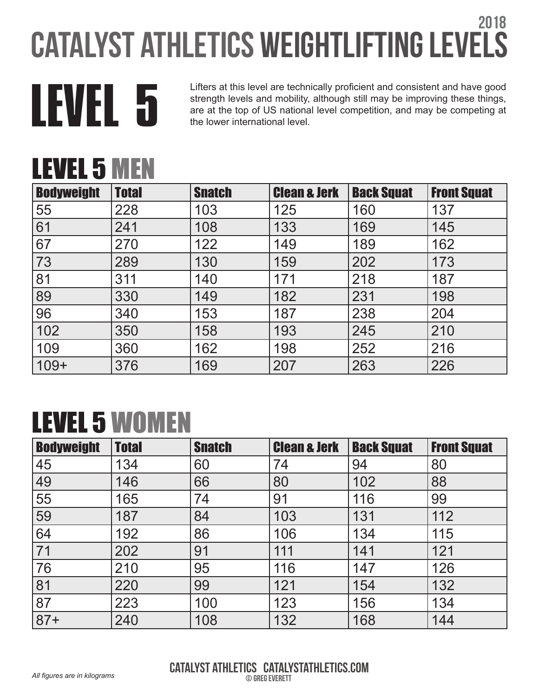

Lifters at this level are technically proficient and consistent and have good<br>strength levels and mobility, although still may be improving these things,<br>the lower international level strength levels and mobility, although still may be improving these things, are at the top of US national level competition, and may be competing at the lower international level.

## LEVEL 5 MEN

| <b>Bodyweight</b> | <b>Total</b> | <b>Snatch</b> | <b>Clean &amp; Jerk</b> | <b>Back Squat</b> | <b>Front Squat</b> |
|-------------------|--------------|---------------|-------------------------|-------------------|--------------------|
| 55                | 228          | 103           | 125                     | 160               | 137                |
| 61                | 241          | 108           | 133                     | 169               | 145                |
| 67                | 270          | 122           | 149                     | 189               | 162                |
| 73                | 289          | 130           | 159                     | 202               | 173                |
| 81                | 311          | 140           | 171                     | 218               | 187                |
| 89                | 330          | 149           | 182                     | 231               | 198                |
| 96                | 340          | 153           | 187                     | 238               | 204                |
| 102               | 350          | 158           | 193                     | 245               | 210                |
| 109               | 360          | 162           | 198                     | 252               | 216                |
| $109+$            | 376          | 169           | 207                     | 263               | 226                |

### LEVEL 5 WOMEN

| <b>Bodyweight</b> | <b>Total</b> | <b>Snatch</b> | <b>Clean &amp; Jerk</b> | <b>Back Squat</b> | <b>Front Squat</b> |
|-------------------|--------------|---------------|-------------------------|-------------------|--------------------|
| 45                | 134          | 60            | 74                      | 94                | 80                 |
| 49                | 146          | 66            | 80                      | 102               | 88                 |
| 55                | 165          | 74            | 91                      | 116               | 99                 |
| 59                | 187          | 84            | 103                     | 131               | 112                |
| 64                | 192          | 86            | 106                     | 134               | 115                |
| 71                | 202          | 91            | 111                     | 141               | 121                |
| 76                | 210          | 95            | 116                     | 147               | 126                |
| 81                | 220          | 99            | 121                     | 154               | 132                |
| 87                | 223          | 100           | 123                     | 156               | 134                |
| $ 87+$            | 240          | 108           | 132                     | 168               | 144                |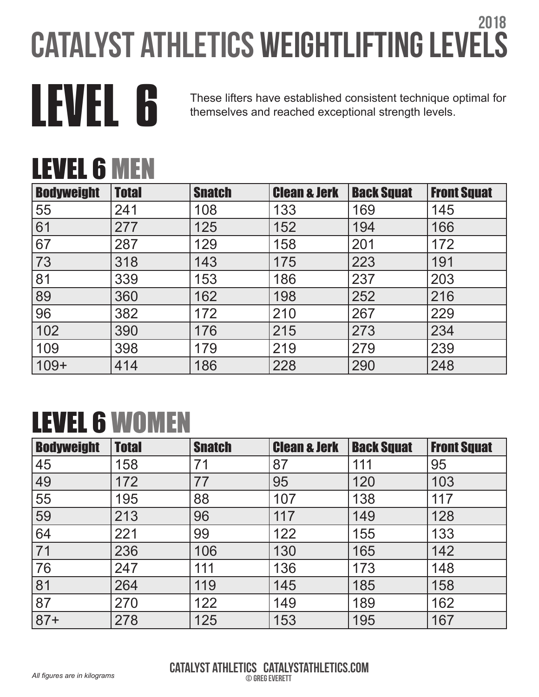

THEVEL 6 These lifters have established consistent technique optimal for<br>themselves and reached exceptional strength levels. themselves and reached exceptional strength levels.

## LEVEL 6 MEN

| <b>Bodyweight</b> | <b>Total</b> | <b>Snatch</b> | <b>Clean &amp; Jerk</b> | <b>Back Squat</b> | <b>Front Squat</b> |
|-------------------|--------------|---------------|-------------------------|-------------------|--------------------|
| 55                | 241          | 108           | 133                     | 169               | 145                |
| 61                | 277          | 125           | 152                     | 194               | 166                |
| 67                | 287          | 129           | 158                     | 201               | 172                |
| 73                | 318          | 143           | 175                     | 223               | 191                |
| 81                | 339          | 153           | 186                     | 237               | 203                |
| 89                | 360          | 162           | 198                     | 252               | 216                |
| 96                | 382          | 172           | 210                     | 267               | 229                |
| 102               | 390          | 176           | 215                     | 273               | 234                |
| 109               | 398          | 179           | 219                     | 279               | 239                |
| $ 109+$           | 414          | 186           | 228                     | 290               | 248                |

## LEVEL 6 WOMEN

| <b>Bodyweight</b> | <b>Total</b> | <b>Snatch</b> | <b>Clean &amp; Jerk</b> | <b>Back Squat</b> | <b>Front Squat</b> |
|-------------------|--------------|---------------|-------------------------|-------------------|--------------------|
| 45                | 158          | 71            | 87                      | 111               | 95                 |
| 49                | 172          | 77            | 95                      | 120               | 103                |
| 55                | 195          | 88            | 107                     | 138               | 117                |
| 59                | 213          | 96            | 117                     | 149               | 128                |
| 64                | 221          | 99            | 122                     | 155               | 133                |
| 71                | 236          | 106           | 130                     | 165               | 142                |
| 76                | 247          | 111           | 136                     | 173               | 148                |
| 81                | 264          | 119           | 145                     | 185               | 158                |
| 87                | 270          | 122           | 149                     | 189               | 162                |
| $ 87+$            | 278          | 125           | 153                     | 195               | 167                |